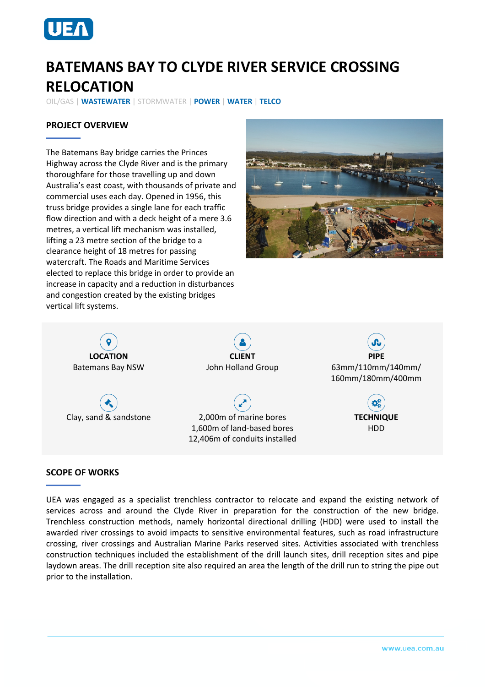

# **BATEMANS BAY TO CLYDE RIVER SERVICE CROSSING RELOCATION**

OIL/GAS | **WASTEWATER** | STORMWATER | **POWER** | **WATER** | **TELCO**

## **PROJECT OVERVIEW**

The Batemans Bay bridge carries the Princes Highway across the Clyde River and is the primary thoroughfare for those travelling up and down Australia's east coast, with thousands of private and commercial uses each day. Opened in 1956, this truss bridge provides a single lane for each traffic flow direction and with a deck height of a mere 3.6 metres, a vertical lift mechanism was installed, lifting a 23 metre section of the bridge to a clearance height of 18 metres for passing watercraft. The Roads and Maritime Services elected to replace this bridge in order to provide an increase in capacity and a reduction in disturbances and congestion created by the existing bridges vertical lift systems.





#### **SCOPE OF WORKS**

UEA was engaged as a specialist trenchless contractor to relocate and expand the existing network of services across and around the Clyde River in preparation for the construction of the new bridge. Trenchless construction methods, namely horizontal directional drilling (HDD) were used to install the awarded river crossings to avoid impacts to sensitive environmental features, such as road infrastructure crossing, river crossings and Australian Marine Parks reserved sites. Activities associated with trenchless construction techniques included the establishment of the drill launch sites, drill reception sites and pipe laydown areas. The drill reception site also required an area the length of the drill run to string the pipe out prior to the installation.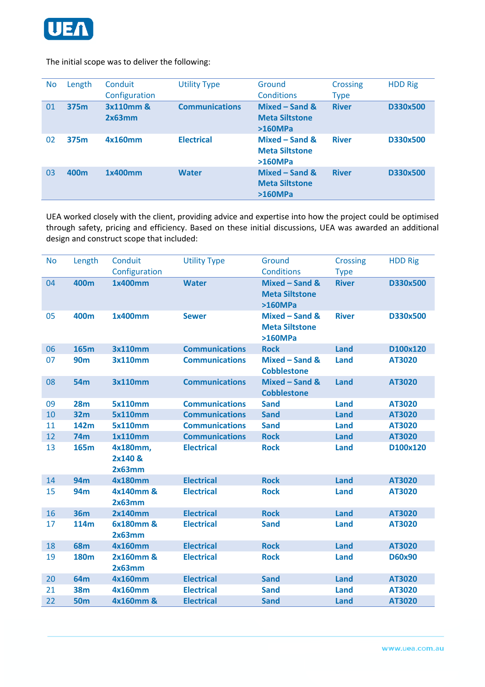

#### The initial scope was to deliver the following:

| N <sub>o</sub> | Length | Conduit<br>Configuration | <b>Utility Type</b>   | Ground<br><b>Conditions</b>                        | <b>Crossing</b><br><b>Type</b> | <b>HDD Rig</b> |
|----------------|--------|--------------------------|-----------------------|----------------------------------------------------|--------------------------------|----------------|
| 01             | 375m   | 3x110mm &<br>2x63mm      | <b>Communications</b> | Mixed - Sand &<br><b>Meta Siltstone</b><br>>160MPa | <b>River</b>                   | D330x500       |
| 02             | 375m   | 4x160mm                  | <b>Electrical</b>     | Mixed – Sand &<br><b>Meta Siltstone</b><br>>160MPa | <b>River</b>                   | D330x500       |
| 03             | 400m   | 1x400mm                  | <b>Water</b>          | Mixed - Sand &<br><b>Meta Siltstone</b><br>>160MPa | <b>River</b>                   | D330x500       |

UEA worked closely with the client, providing advice and expertise into how the project could be optimised through safety, pricing and efficiency. Based on these initial discussions, UEA was awarded an additional design and construct scope that included:

| <b>No</b> | Length      | Conduit                       | <b>Utility Type</b>   | Ground                                             | <b>Crossing</b> | <b>HDD Rig</b> |
|-----------|-------------|-------------------------------|-----------------------|----------------------------------------------------|-----------------|----------------|
|           |             | Configuration                 |                       | <b>Conditions</b>                                  | <b>Type</b>     |                |
| 04        | 400m        | 1x400mm                       | <b>Water</b>          | Mixed - Sand &<br><b>Meta Siltstone</b><br>>160MPa | <b>River</b>    | D330x500       |
| 05        | 400m        | 1x400mm                       | <b>Sewer</b>          | Mixed - Sand &<br><b>Meta Siltstone</b><br>>160MPa | <b>River</b>    | D330x500       |
| 06        | 165m        | 3x110mm                       | <b>Communications</b> | <b>Rock</b>                                        | Land            | D100x120       |
| 07        | <b>90m</b>  | 3x110mm                       | <b>Communications</b> | Mixed - Sand &<br><b>Cobblestone</b>               | <b>Land</b>     | AT3020         |
| 08        | <b>54m</b>  | 3x110mm                       | <b>Communications</b> | Mixed - Sand &<br><b>Cobblestone</b>               | <b>Land</b>     | AT3020         |
| 09        | <b>28m</b>  | <b>5x110mm</b>                | <b>Communications</b> | <b>Sand</b>                                        | Land            | AT3020         |
| 10        | <b>32m</b>  | <b>5x110mm</b>                | <b>Communications</b> | <b>Sand</b>                                        | <b>Land</b>     | AT3020         |
| 11        | 142m        | <b>5x110mm</b>                | <b>Communications</b> | <b>Sand</b>                                        | <b>Land</b>     | AT3020         |
| 12        | <b>74m</b>  | 1x110mm                       | <b>Communications</b> | <b>Rock</b>                                        | Land            | AT3020         |
| 13        | <b>165m</b> | 4x180mm,<br>2x140 &<br>2x63mm | <b>Electrical</b>     | <b>Rock</b>                                        | <b>Land</b>     | D100x120       |
| 14        | <b>94m</b>  | 4x180mm                       | <b>Electrical</b>     | <b>Rock</b>                                        | <b>Land</b>     | AT3020         |
| 15        | 94m         | 4x140mm &<br>2x63mm           | <b>Electrical</b>     | <b>Rock</b>                                        | Land            | AT3020         |
| 16        | <b>36m</b>  | 2x140mm                       | <b>Electrical</b>     | <b>Rock</b>                                        | <b>Land</b>     | AT3020         |
| 17        | <b>114m</b> | 6x180mm &<br>2x63mm           | <b>Electrical</b>     | <b>Sand</b>                                        | Land            | AT3020         |
| 18        | <b>68m</b>  | 4x160mm                       | <b>Electrical</b>     | <b>Rock</b>                                        | <b>Land</b>     | AT3020         |
| 19        | <b>180m</b> | 2x160mm &<br>2x63mm           | <b>Electrical</b>     | <b>Rock</b>                                        | Land            | D60x90         |
| 20        | 64m         | 4x160mm                       | <b>Electrical</b>     | <b>Sand</b>                                        | <b>Land</b>     | AT3020         |
| 21        | <b>38m</b>  | 4x160mm                       | <b>Electrical</b>     | <b>Sand</b>                                        | Land            | AT3020         |
| 22        | <b>50m</b>  | 4x160mm &                     | <b>Electrical</b>     | <b>Sand</b>                                        | Land            | AT3020         |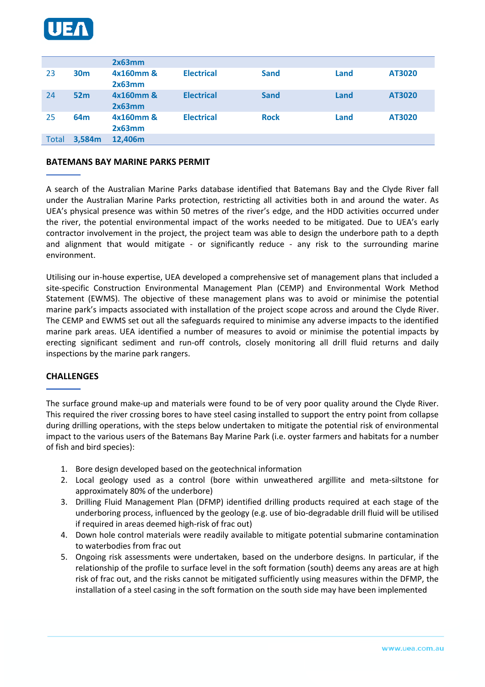

|       |                 | 2x63mm              |                   |             |      |        |
|-------|-----------------|---------------------|-------------------|-------------|------|--------|
| 23    | 30 <sub>m</sub> | 4x160mm &<br>2x63mm | <b>Electrical</b> | <b>Sand</b> | Land | AT3020 |
| 24    | 52m             | 4x160mm &<br>2x63mm | <b>Electrical</b> | <b>Sand</b> | Land | AT3020 |
| 25    | 64 <sub>m</sub> | 4x160mm &<br>2x63mm | <b>Electrical</b> | <b>Rock</b> | Land | AT3020 |
| Total | 3,584m          | 12,406m             |                   |             |      |        |

#### **BATEMANS BAY MARINE PARKS PERMIT**

A search of the Australian Marine Parks database identified that Batemans Bay and the Clyde River fall under the Australian Marine Parks protection, restricting all activities both in and around the water. As UEA's physical presence was within 50 metres of the river's edge, and the HDD activities occurred under the river, the potential environmental impact of the works needed to be mitigated. Due to UEA's early contractor involvement in the project, the project team was able to design the underbore path to a depth and alignment that would mitigate - or significantly reduce - any risk to the surrounding marine environment.

Utilising our in-house expertise, UEA developed a comprehensive set of management plans that included a site-specific Construction Environmental Management Plan (CEMP) and Environmental Work Method Statement (EWMS). The objective of these management plans was to avoid or minimise the potential marine park's impacts associated with installation of the project scope across and around the Clyde River. The CEMP and EWMS set out all the safeguards required to minimise any adverse impacts to the identified marine park areas. UEA identified a number of measures to avoid or minimise the potential impacts by erecting significant sediment and run-off controls, closely monitoring all drill fluid returns and daily inspections by the marine park rangers.

#### **CHALLENGES**

The surface ground make-up and materials were found to be of very poor quality around the Clyde River. This required the river crossing bores to have steel casing installed to support the entry point from collapse during drilling operations, with the steps below undertaken to mitigate the potential risk of environmental impact to the various users of the Batemans Bay Marine Park (i.e. oyster farmers and habitats for a number of fish and bird species):

- 1. Bore design developed based on the geotechnical information
- 2. Local geology used as a control (bore within unweathered argillite and meta-siltstone for approximately 80% of the underbore)
- 3. Drilling Fluid Management Plan (DFMP) identified drilling products required at each stage of the underboring process, influenced by the geology (e.g. use of bio-degradable drill fluid will be utilised if required in areas deemed high-risk of frac out)
- 4. Down hole control materials were readily available to mitigate potential submarine contamination to waterbodies from frac out
- 5. Ongoing risk assessments were undertaken, based on the underbore designs. In particular, if the relationship of the profile to surface level in the soft formation (south) deems any areas are at high risk of frac out, and the risks cannot be mitigated sufficiently using measures within the DFMP, the installation of a steel casing in the soft formation on the south side may have been implemented